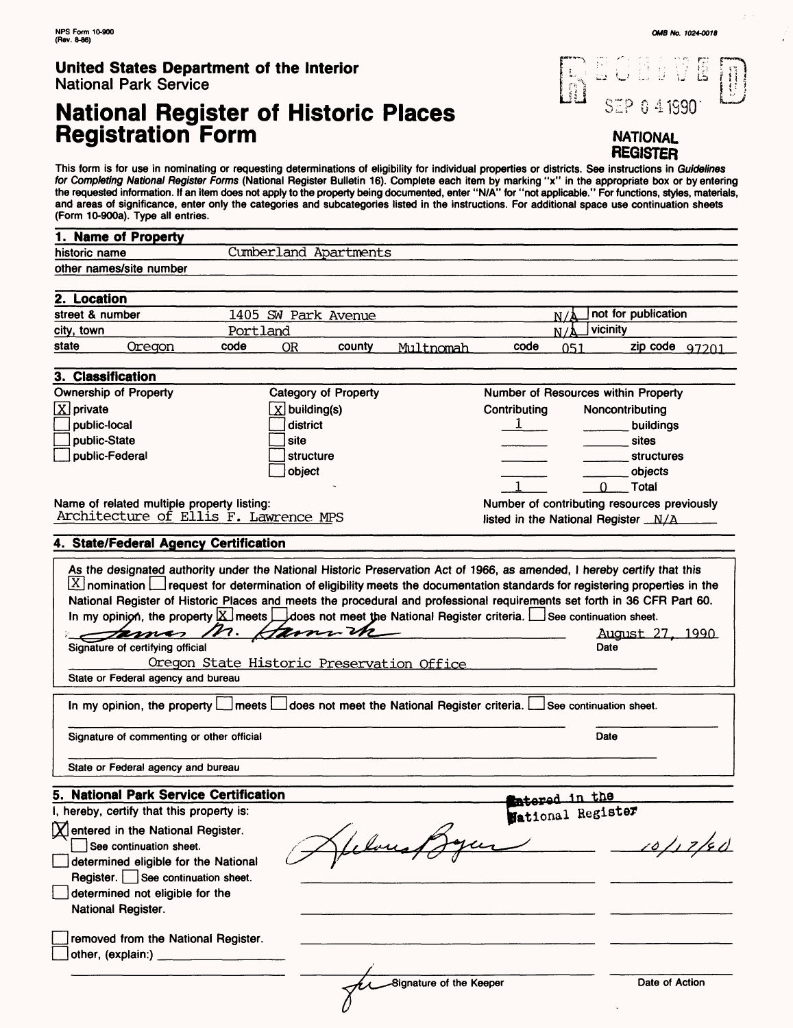# **National Register of Historic Places Registration Form**



**NATIONAL REGISTER**

This form is for use in nominating or requesting determinations of eligibility for individual properties or districts. See instructions in *Guidelines*<br>*for Completing National Register Forms* (National Register Bulletin 1 the requested information. If an item does not apply to the property being documented, enter "N/A" for "not applicable." For functions, styles, materials, and areas of significance, enter only the categories and subcategories listed in the instructions. For additional space use continuation sheets (Form 10-900a). Type all entries.

| (rom lu-suua). Type all entries.                                                                    |                                                      |                                                            |                                             |
|-----------------------------------------------------------------------------------------------------|------------------------------------------------------|------------------------------------------------------------|---------------------------------------------|
| 1. Name of Property                                                                                 |                                                      |                                                            |                                             |
| historic name                                                                                       | Cumberland Apartments                                |                                                            |                                             |
| other names/site number                                                                             |                                                      |                                                            |                                             |
|                                                                                                     |                                                      |                                                            |                                             |
| 2. Location                                                                                         |                                                      |                                                            |                                             |
| street & number                                                                                     | 1405 SW Park Avenue                                  |                                                            | not for publication<br>$N/\Lambda$          |
| city, town                                                                                          | Portland                                             |                                                            | vicinity<br>N/A                             |
| state<br>Oregon<br>code                                                                             | <b>OR</b><br>county                                  | code<br>Multnomah                                          | zip code $97201$<br>051                     |
|                                                                                                     |                                                      |                                                            |                                             |
| 3. Classification                                                                                   |                                                      |                                                            |                                             |
| <b>Ownership of Property</b>                                                                        | <b>Category of Property</b>                          |                                                            | Number of Resources within Property         |
| $\boxed{\text{X}}$ private                                                                          | $X$ building(s)                                      | Contributing                                               | Noncontributing                             |
| public-local                                                                                        | district                                             | 1                                                          | buildings                                   |
| public-State                                                                                        | site                                                 |                                                            | sites                                       |
| public-Federal                                                                                      | structure                                            |                                                            | structures                                  |
|                                                                                                     | object                                               |                                                            | objects                                     |
|                                                                                                     |                                                      |                                                            | Total<br>0                                  |
| Name of related multiple property listing:                                                          |                                                      |                                                            | Number of contributing resources previously |
| Architecture of Ellis F. Lawrence MPS                                                               |                                                      |                                                            | listed in the National Register _N/A_       |
|                                                                                                     |                                                      |                                                            |                                             |
| 4. State/Federal Agency Certification                                                               |                                                      |                                                            |                                             |
| $\mathscr{P}$ .<br>ternes<br>Signature of certifying official<br>State or Federal agency and bureau | Hann th<br>Oregon State Historic Preservation Office |                                                            | August 27, 1990<br>Date                     |
| In my opinion, the property $\Box$ meets $\Box$                                                     |                                                      | does not meet the National Register criteria. $\lfloor \_$ | See continuation sheet.                     |
| Signature of commenting or other official                                                           |                                                      |                                                            | Date                                        |
| State or Federal agency and bureau                                                                  |                                                      |                                                            |                                             |
| <b>National Park Service Certification</b><br>5                                                     |                                                      |                                                            | stamed in the                               |
| I, hereby, certify that this property is:                                                           |                                                      |                                                            | Wational Register                           |
| $\lfloor \chi \rfloor$ entered in the National Register.                                            |                                                      |                                                            |                                             |
| See continuation sheet.                                                                             |                                                      |                                                            |                                             |
| determined eligible for the National                                                                |                                                      |                                                            |                                             |
| Register.   See continuation sheet.                                                                 |                                                      |                                                            |                                             |
| determined not eligible for the                                                                     |                                                      |                                                            |                                             |
| National Register.                                                                                  |                                                      |                                                            |                                             |
|                                                                                                     |                                                      |                                                            |                                             |
| removed from the National Register.<br>other, (explain:)                                            |                                                      |                                                            |                                             |
|                                                                                                     |                                                      | Signature of the Keeper                                    | Date of Action                              |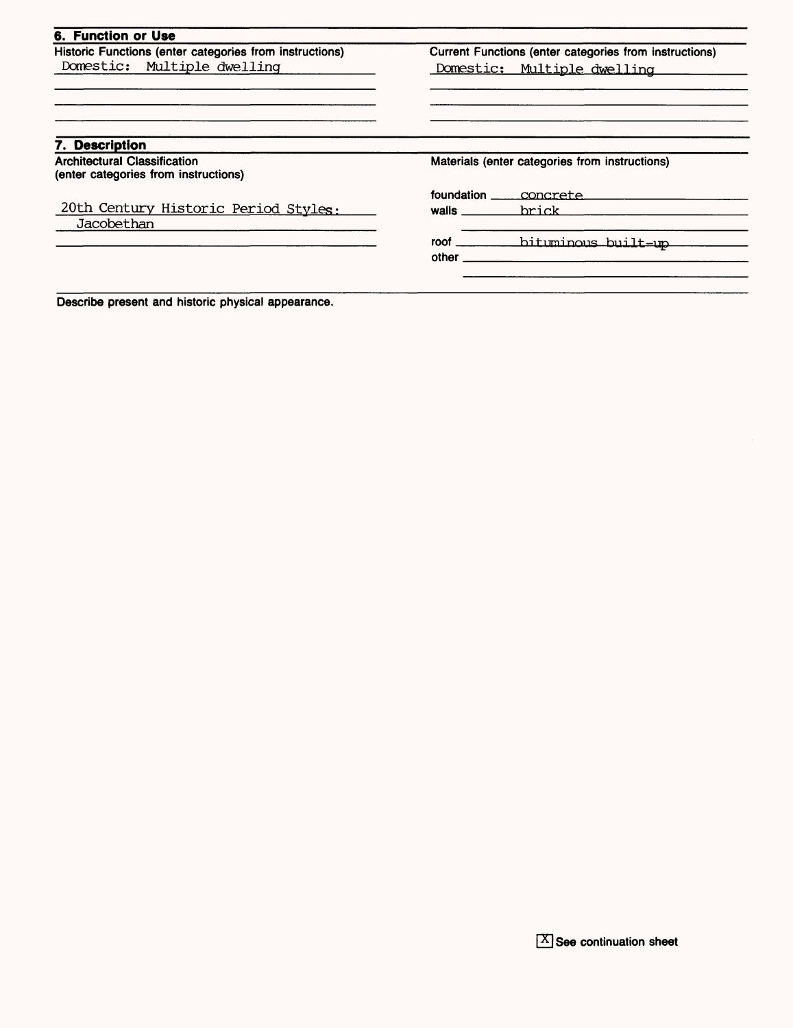|                                                | Current Functions (enter categories from instructions) |
|------------------------------------------------|--------------------------------------------------------|
| Domestic: Multiple dwelling                    |                                                        |
|                                                |                                                        |
|                                                |                                                        |
|                                                |                                                        |
| Materials (enter categories from instructions) |                                                        |
|                                                | foundation _____ concrete_                             |
| walls                                          | brick                                                  |
|                                                |                                                        |
| $other$ <sub>___</sub>                         |                                                        |
|                                                |                                                        |

Describe present and historic physical appearance.

 $[X]$  See continuation sheet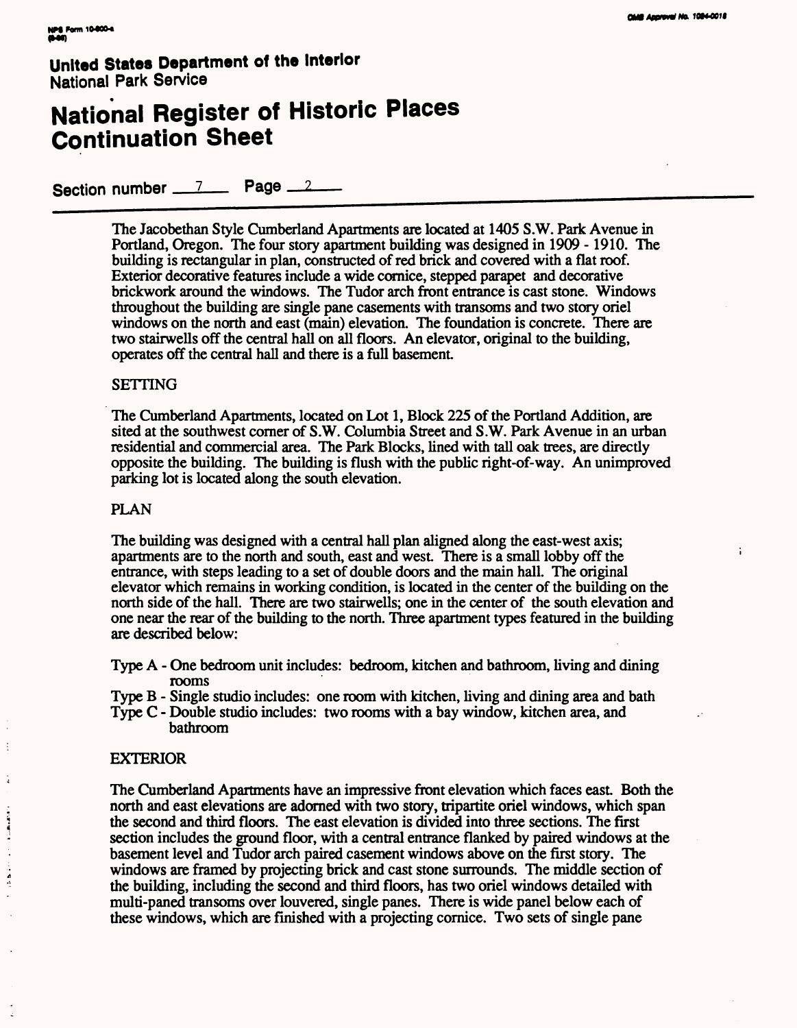÷

### **United States Department of the Interior** National Park Service

# **National Register of Historic Places Continuation Sheet**

Section number  $2$ Page  $2$ 

> The Jacobethan Style Cumberland Apartments are located at 1405 S.W. Park Avenue in Portland, Oregon. The four story apartment building was designed in 1909 - 1910. The building is rectangular in plan, constructed of red brick and covered with a flat roof. Exterior decorative features include a wide cornice, stepped parapet and decorative brickwork around the windows. The Tudor arch front entrance is cast stone. Windows throughout the building are single pane casements with transoms and two story oriel windows on the north and east (main) elevation. The foundation is concrete. There are two stairwells off the central hall on all floors. An elevator, original to the building, operates off the central hall and there is a full basement

#### SETTING

The Cumberland Apartments, located on Lot 1, Block 225 of the Portland Addition, are sited at the southwest corner of S.W. Columbia Street and S.W. Park Avenue in an urban residential and commercial area. The Park Blocks, lined with tall oak trees, are directly opposite the building. The building is flush with the public right-of-way. An unimproved parking lot is located along the south elevation.

#### PLAN

The building was designed with a central hall plan aligned along the east-west axis; apartments are to the north and south, east and west. There is a small lobby off the entrance, with steps leading to a set of double doors and the main hall. The original elevator which remains in working condition, is located in the center of the building on the north side of the hall. There are two stairwells; one in the center of the south elevation and one near the rear of the building to the north. Three apartment types featured in the building are described below:

- Type A One bedroom unit includes: bedroom, kitchen and bathroom, living and dining rooms
- Type B Single studio includes: one room with kitchen, living and dining area and bath
- Type C Double studio includes: two rooms with a bay window, kitchen area, and bathroom

#### EXTERIOR

÷

Ŕ

**CONTRACTOR** 

 $\frac{1}{2}$ 

The Cumberland Apartments have an impressive front elevation which faces east. Both the north and east elevations are adorned with two story, tripartite oriel windows, which span the second and third floors. The east elevation is divided into three sections. The first section includes the ground floor, with a central entrance flanked by paired windows at the basement level and Tudor arch paired casement windows above on the first story. The windows are framed by projecting brick and cast stone surrounds. The middle section of the building, including the second and third floors, has two oriel windows detailed with multi-paned transoms over louvered, single panes. There is wide panel below each of these windows, which are finished with a projecting cornice. Two sets of single pane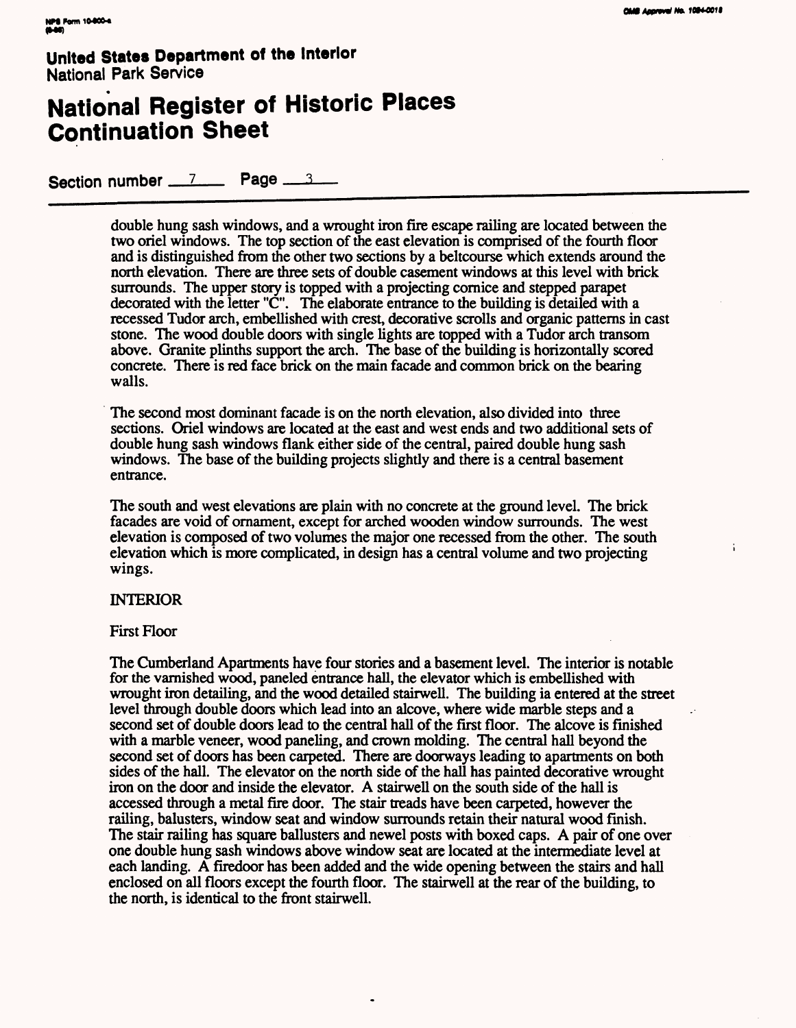# **National Register of Historic Places Continuation Sheet**

Section number 7 Page 3

double hung sash windows, and a wrought iron fire escape railing are located between the two oriel windows. The top section of the east elevation is comprised of the fourth floor and is distinguished *from* the other two sections by a beltcourse which extends around the north elevation. There are three sets of double casement windows at this level with brick surrounds. The upper story is topped with a projecting cornice and stepped parapet decorated with the letter "C". The elaborate entrance to the building is detailed with a recessed Tudor arch, embellished with crest, decorative scrolls and organic patterns in cast stone. The wood double doors with single lights are topped with a Tudor arch transom above. Granite plinths support the arch. The base of the building is horizontally scored concrete. There is red face brick on the main facade and common brick on the bearing walls.

The second most dominant facade is on the north elevation, also divided into three sections. Oriel windows are located at the east and west ends and two additional sets of double hung sash windows flank either side of the central, paired double hung sash windows. The base of the building projects slightly and there is a central basement entrance.

The south and west elevations are plain with no concrete at the ground level. The brick facades are void of ornament, except for arched wooden window surrounds. The west elevation is composed of two volumes the major one recessed from the other. The south elevation which is more complicated, in design has a central volume and two projecting wings.

#### INTERIOR

#### First Floor

The Cumberland Apartments have four stories and a basement level. The interior is notable for the varnished wood, paneled entrance hall, the elevator which is embellished with wrought iron detailing, and the wood detailed stairwell. The building ia entered at the street level through double doors which lead into an alcove, where wide marble steps and a second set of double doors lead to the central hall of the first floor. The alcove is finished with a marble veneer, wood paneling, and crown molding. The central hall beyond the second set of doors has been carpeted. There are doorways leading to apartments on both sides of the hall. The elevator on the north side of the hall has painted decorative wrought iron on the door and inside the elevator. A stairwell on the south side of the hall is accessed through a metal fire door. The stair treads have been carpeted, however the railing, balusters, window seat and window surrounds retain their natural wood finish. The stair railing has square ballusters and newel posts with boxed caps. A pair of one over one double hung sash windows above window seat are located at the intermediate level at each landing. A firedoor has been added and the wide opening between the stairs and hall enclosed on all floors except the fourth floor. The stairwell at the rear of the building, to the north, is identical to the front stairwell.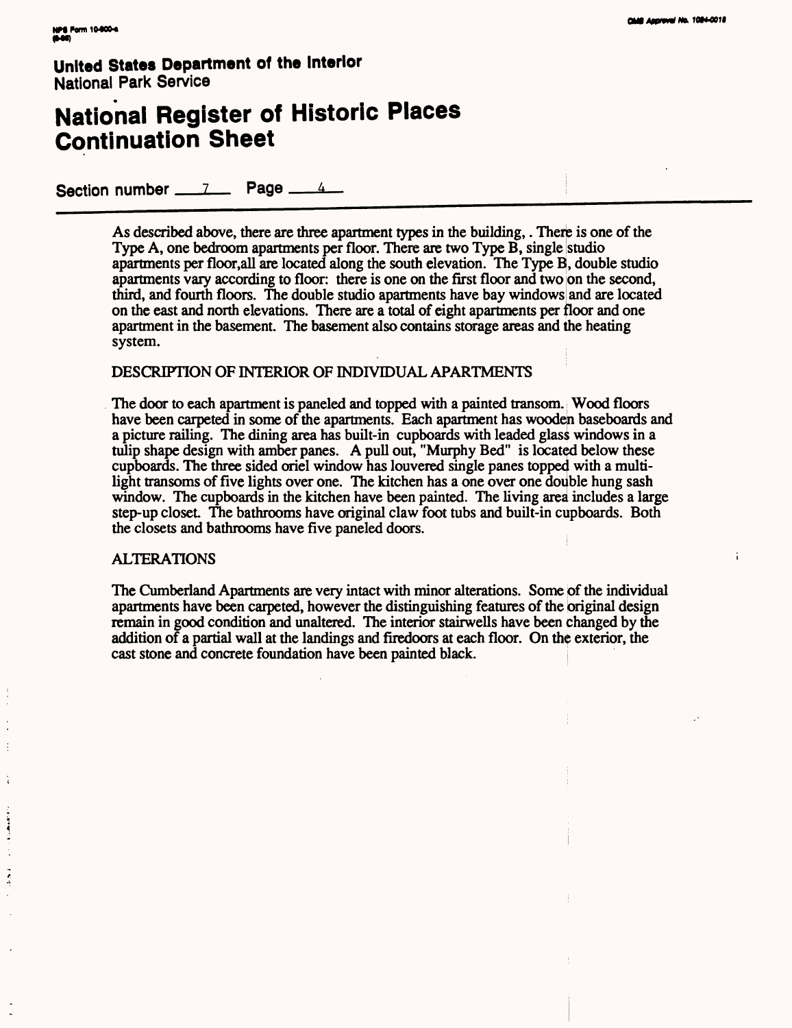## **National Register of Historic Places Continuation Sheet**

Section number \_\_\_\_\_\_\_\_\_\_\_\_ Page \_\_\_\_\_\_\_\_\_\_

As described above, there are three apartment types in the building,. There is one of the Type A, one bedroom apartments per floor. There are two Type B, single studio apartments per floor,all are located along the south elevation. The Type B, double studio apartments vary according to floor: there is one on the first floor and two on the second, third, and fourth floors. The double studio apartments have bay windows and are located on the east and north elevations. There are a total of eight apartments per floor and one apartment in the basement. The basement also contains storage areas and the heating system.

#### DESCRIPTION OF INTERIOR OF INDIVIDUAL APARTMENTS

The door to each apartment is paneled and topped with a painted transom. Wood floors have been carpeted in some of the apartments. Each apartment has wooden baseboards and a picture railing. The dining area has built-in cupboards with leaded glass windows in a tulip shape design with amber panes. A pull out, "Murphy Bed" is located below these cupboards. The three sided oriel window has louvered single panes topped with a multilight transoms of five lights over one. The kitchen has a one over one double hung sash window. The cupboards in the kitchen have been painted. The living area includes a large step-up closet. The bathrooms have original claw foot tubs and built-in cupboards. Both the closets and bathrooms have five paneled doors.

#### ALTERATIONS

The Cumberland Apartments are very intact with minor alterations. Some of the individual apartments have been carpeted, however the distinguishing features of the original design remain in good condition and unaltered. The interior stairwells have been changed by the addition of a partial wall at the landings and firedoors at each floor. On the exterior, the cast stone and concrete foundation have been painted black.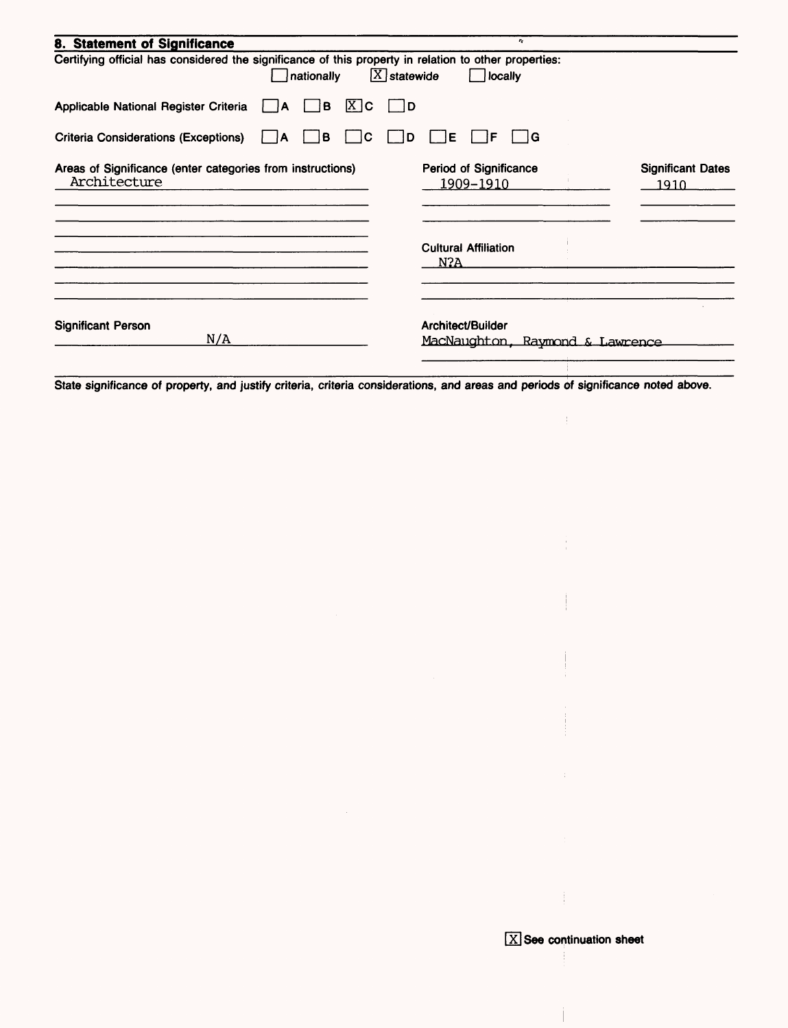| 8. Statement of Significance                                                                                        | $\mathbf{r}_\mathrm{c}$                              |                                  |
|---------------------------------------------------------------------------------------------------------------------|------------------------------------------------------|----------------------------------|
| Certifying official has considered the significance of this property in relation to other properties:<br>nationally | $[\overline{X}]$ statewide<br>locally                |                                  |
| $X$ $C$<br>Applicable National Register Criteria<br>в<br>I IA                                                       | ID.                                                  |                                  |
| C<br><b>Criteria Considerations (Exceptions)</b><br>в<br>۱A                                                         | lΕ<br>∣G<br>F<br>D                                   |                                  |
| Areas of Significance (enter categories from instructions)<br>Architecture                                          | <b>Period of Significance</b><br>1909-1910           | <b>Significant Dates</b><br>1910 |
|                                                                                                                     | <b>Cultural Affiliation</b><br>N?A                   |                                  |
| <b>Significant Person</b><br>N/A                                                                                    | Architect/Builder<br>MacNaughton, Raymond & Lawrence |                                  |

State significance of property, and justify criteria, criteria considerations, and areas and periods of significance noted above.

Ť

 $\pm$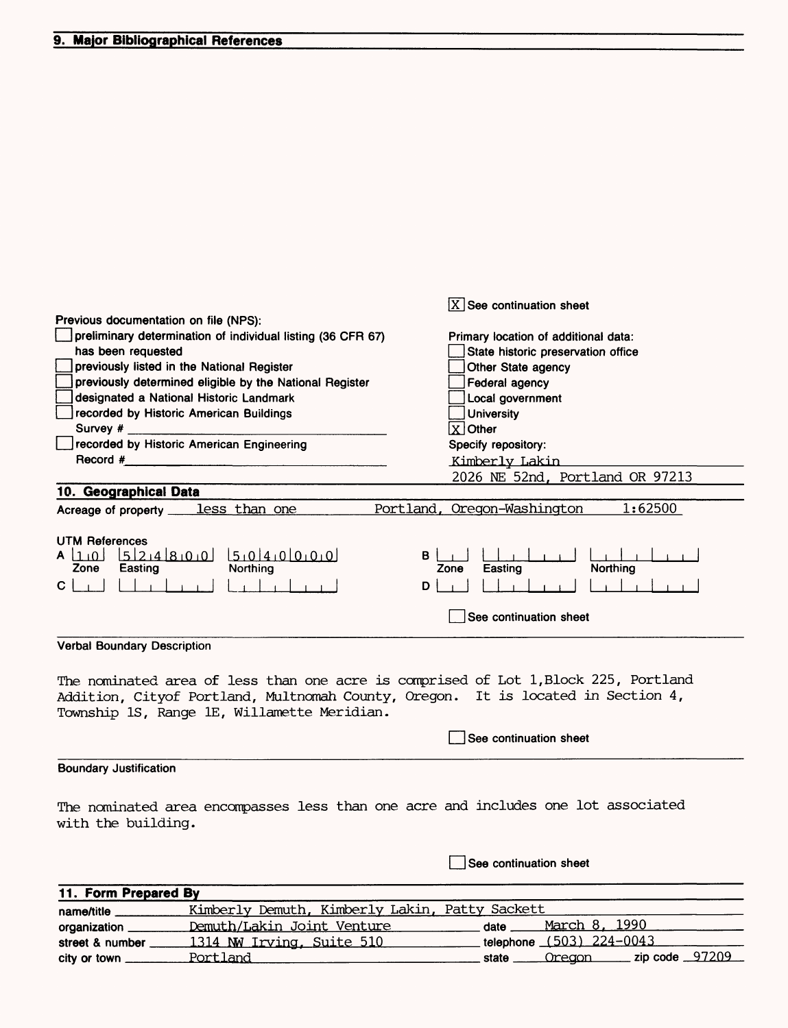street & number 1314 NW Irving, Suite 510

city or town Portland

|                                                                                    | $\overline{X}$ See continuation sheet     |
|------------------------------------------------------------------------------------|-------------------------------------------|
| Previous documentation on file (NPS):                                              |                                           |
| preliminary determination of individual listing (36 CFR 67)                        | Primary location of additional data:      |
| has been requested                                                                 | State historic preservation office        |
| previously listed in the National Register                                         | Other State agency                        |
| previously determined eligible by the National Register                            | Federal agency                            |
| designated a National Historic Landmark                                            | Local government                          |
| recorded by Historic American Buildings                                            | <b>University</b>                         |
| Survey #                                                                           | $ X $ Other                               |
| recorded by Historic American Engineering                                          | Specify repository:                       |
| Record #                                                                           | Kimberly Lakin                            |
|                                                                                    | 2026 NE 52nd, Portland OR 97213           |
| 10. Geographical Data                                                              |                                           |
| Acreage of property <u>less</u> than one                                           | Portland,<br>Oregon-Washington<br>1:62500 |
|                                                                                    |                                           |
| <b>UTM References</b>                                                              |                                           |
| 5214800<br>$A\left[1,0\right]$                                                     | В                                         |
| Zone<br>Easting<br>Northing                                                        | Northing<br>Easting<br>Zone               |
| сl                                                                                 | D                                         |
|                                                                                    | See continuation sheet                    |
|                                                                                    |                                           |
| <b>Verbal Boundary Description</b>                                                 |                                           |
|                                                                                    |                                           |
| The nominated area of less than one acre is comprised of Lot 1,Block 225, Portland |                                           |
| Addition, Cityof Portland, Multnomah County, Oregon. It is located in Section 4,   |                                           |
| Township 1S, Range 1E, Willamette Meridian.                                        |                                           |
|                                                                                    |                                           |
|                                                                                    | See continuation sheet                    |
| <b>Boundary Justification</b>                                                      |                                           |
|                                                                                    |                                           |
|                                                                                    |                                           |
| The nominated area encompasses less than one acre and includes one lot associated  |                                           |
| with the building.                                                                 |                                           |
|                                                                                    |                                           |
|                                                                                    | See continuation sheet                    |
|                                                                                    |                                           |
| 11. Form Prepared By                                                               |                                           |
| Kimberly Demuth, Kimberly Lakin, Patty Sackett<br>name/title                       |                                           |
| Demuth/Lakin Joint Venture<br>organization _                                       | 1990<br><u>March 8,</u><br>date           |

telephone (503} 224-0043

state <u>Cregon</u> zip code 97209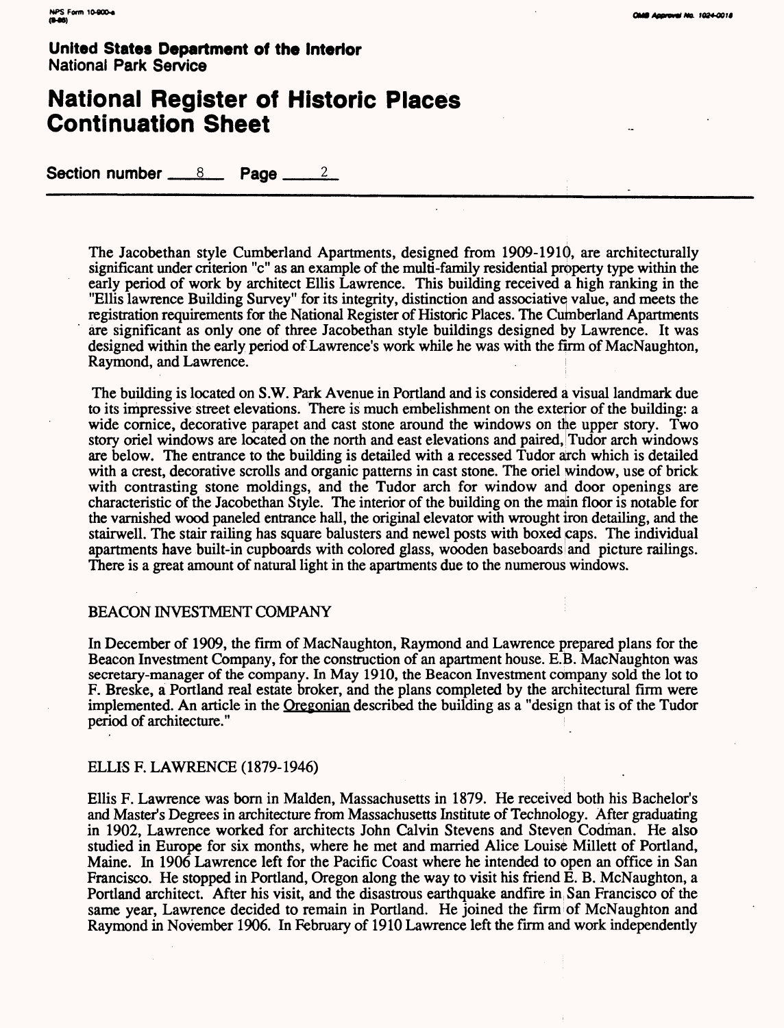## **National Register of Historic Places Continuation Sheet**

Section number  $8 \times 8$  Page  $2 \times 2$ 

The Jacobethan style Cumberland Apartments, designed from 1909-1910, are architecturally significant under criterion "c" as an example of the multi-family residential property type within the early period of work by architect Ellis Lawrence. This building received a high ranking in the "Ellis lawrence Building Survey" for its integrity, distinction and associative value, and meets the registration requirements for the National Register of Historic Places. The Cumberland Apartments are significant as only one of three Jacobethan style buildings designed by Lawrence. It was designed within the early period of Lawrence's work while he was with the firm of MacNaughton, Raymond, and Lawrence.

The building is located on S.W. Park Avenue in Portland and is considered a visual landmark due to its impressive street elevations. There is much embelishment on the exterior of the building: a wide cornice, decorative parapet and cast stone around the windows on the upper story. Two story oriel windows are located on the north and east elevations and paired, Tudor arch windows are below. The entrance to the building is detailed with a recessed Tudor atch which is detailed with a crest, decorative scrolls and organic patterns in cast stone. The oriel window, use of brick with contrasting stone moldings, and the Tudor arch for window and door openings are characteristic of the Jacobethan Style. The interior of the building on the main floor is notable for the varnished wood paneled entrance hall, the original elevator with wrought iron detailing, and the stairwell. The stair railing has square balusters and newel posts with boxed caps. The individual apartments have built-in cupboards with colored glass, wooden baseboards and picture railings. There is a great amount of natural light in the apartments due to the numerous windows.

#### BEACON INVESTMENT COMPANY

In December of 1909, the firm of MacNaughton, Raymond and Lawrence prepared plans for the Beacon Investment Company, for the construction of an apartment house. E.B. MacNaughton was secretary-manager of the company. In May 1910, the Beacon Investment company sold the lot to F. Breske, a Portland real estate broker, and the plans completed by the architectural firm were implemented. An article in the Oregonian described the building as a "design that is of the Tudor period of architecture."

#### ELLIS F. LAWRENCE (1879-1946)

Ellis F. Lawrence was born in Maiden, Massachusetts in 1879. He received both his Bachelor's and Master's Degrees in architecture from Massachusetts Institute of Technology. After graduating in 1902, Lawrence worked for architects John Calvin Stevens and Steven Codman. He also studied in Europe for six months, where he met and married Alice Louise Millett of Portland, Maine. In 1906 Lawrence left for the Pacific Coast where he intended to open an office in San Francisco. He stopped in Portland, Oregon along the way to visit his friend E. B. McNaughton, a Portland architect. After his visit, and the disastrous earthquake andfire in San Francisco of the same year, Lawrence decided to remain in Portland. He joined the firm of McNaughton and Raymond in November 1906. In February of 1910 Lawrence left the firm and work independently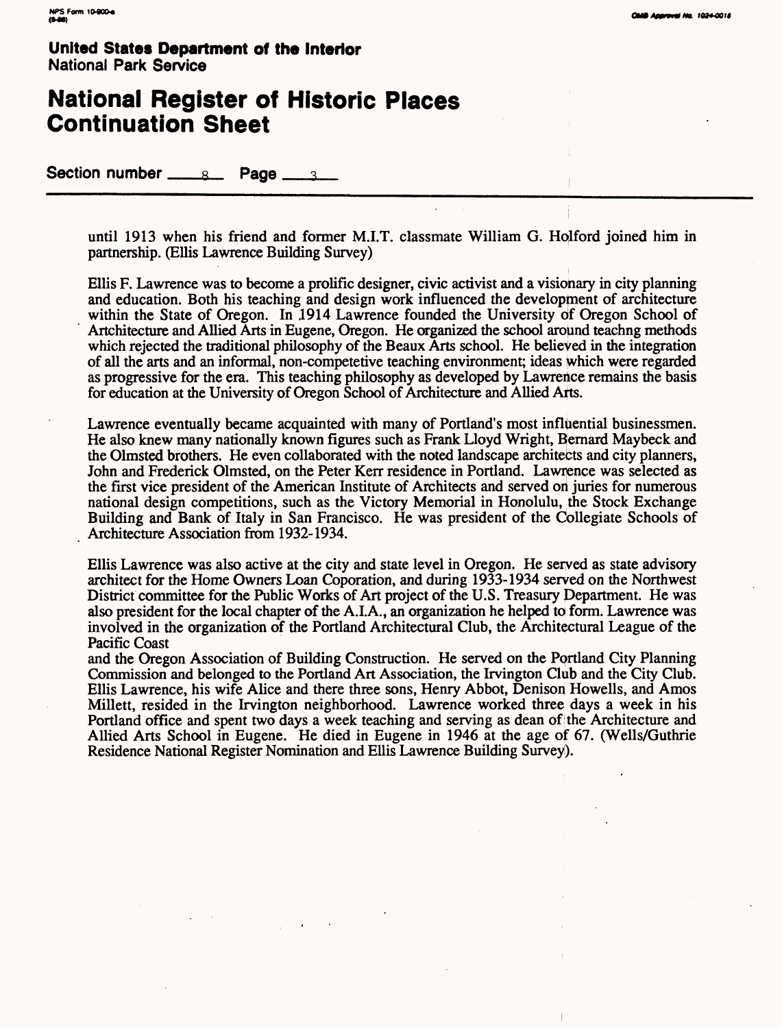## **National Register of Historic Places Continuation Sheet**

Section number <u>each</u> Page <u>and</u>

until 1913 when his friend and former M.I.T. classmate William G. Holford joined him in partnership. (Ellis Lawrence Building Survey)

Ellis F. Lawrence was to become a prolific designer, civic activist and a visionary in city planning and education. Both his teaching and design work influenced the development of architecture within the State of Oregon. In 1914 Lawrence founded the University of Oregon School of Artchitecture and Allied Arts in Eugene, Oregon. He organized the school around teachng methods which rejected the traditional philosophy of the Beaux Arts school. He believed in the integration of all the arts and an informal, non-competetive teaching environment; ideas which were regarded as progressive for the era. This teaching philosophy as developed by Lawrence remains the basis for education at the University of Oregon School of Architecture and Allied Arts.

Lawrence eventually became acquainted with many of Portland's most influential businessmen. He also knew many nationally known figures such as Frank Lloyd Wright, Bernard Maybeck and the Olmsted brothers. He even collaborated with the noted landscape architects and city planners, John and Frederick Olmsted, on the Peter Kerr residence in Portland. Lawrence was selected as the first vice president of the American Institute of Architects and served on juries for numerous national design competitions, such as the Victory Memorial in Honolulu, the Stock Exchange Building and Bank of Italy in San Francisco. He was president of the Collegiate Schools of Architecture Association from 1932-1934.

Ellis Lawrence was also active at the city and state level in Oregon. He served as state advisory architect for the Home Owners Loan Coporation, and during 1933-1934 served on the Northwest District committee for the Public Works of Art project of the U.S. Treasury Pepartment. He was also president for the local chapter of the A.I.A., an organization he helped to form. Lawrence was involved in the organization of the Portland Architectural Club, the Architectural League of the Pacific Coast

and the Oregon Association of Building Construction. He served on the Portland City Planning Commission and belonged to the Portland Art Association, the Irvington Club and the City Club. Ellis Lawrence, his wife Alice and there three sons, Henry Abbot, Denison Howells, and Amos Millett, resided in the Irvington neighborhood. Lawrence worked three days a week in his Portland office and spent two days a week teaching and serving as dean of the Architecture and Allied Arts School in Eugene. He died in Eugene in 1946 at the age of 67. (Wells/Guthrie Residence National Register Nomination and Ellis Lawrence Building Survey).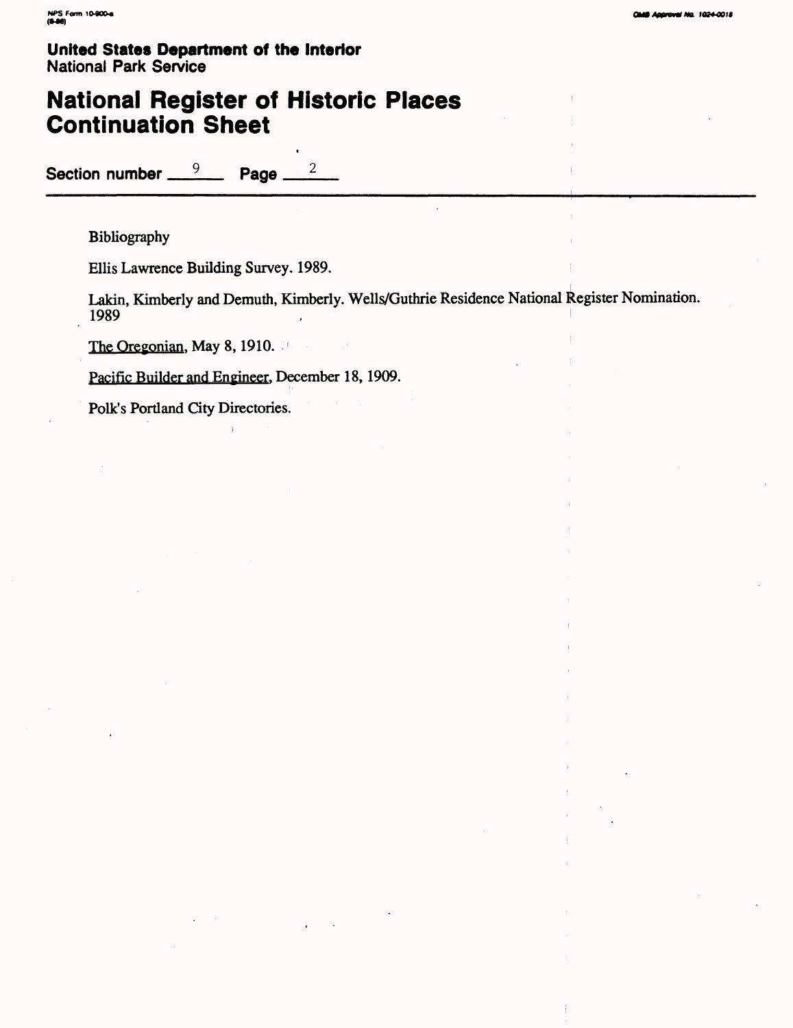## **National Register of Historic Places Continuation Sheet**

Section number <u>9</u> Page 2

Bibliography

Ellis Lawrence Building Survey. 1989.

Lakin, Kimberly and Demuth, Kimberly. Wells/Guthrie Residence National Register Nomination. 1989

The Oregonian, May 8, 1910.

Pacific Builder and Engineer. December 18, 1909.

Folk's Portland City Directories.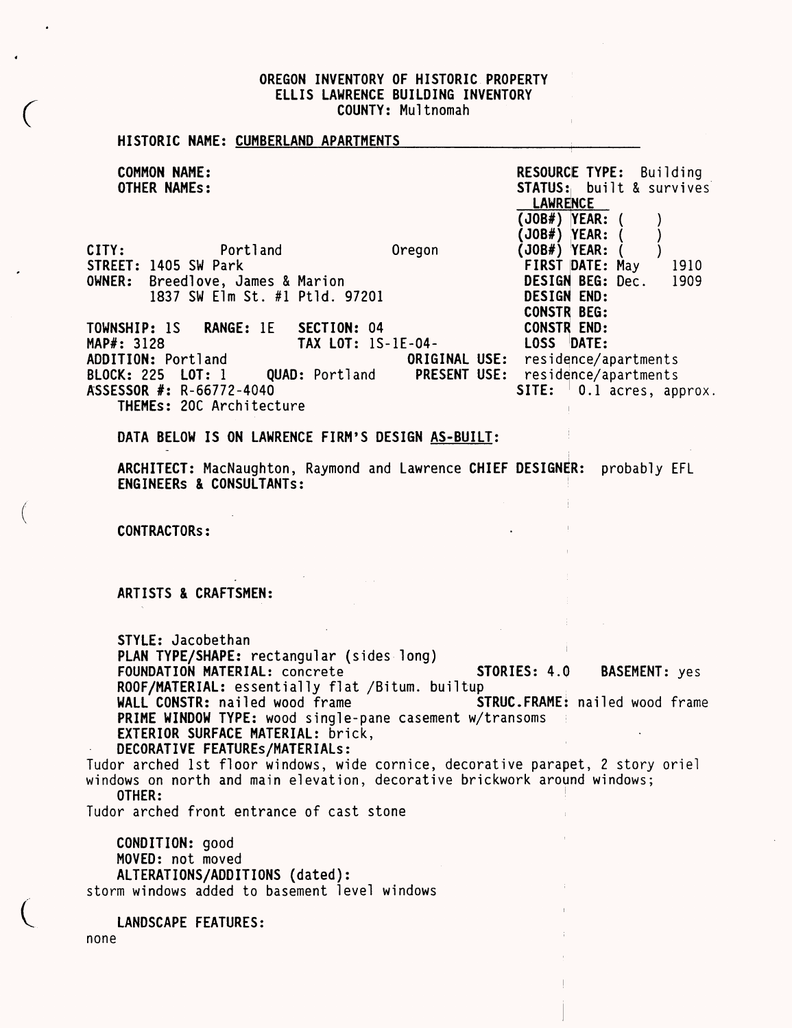#### OREGON INVENTORY OF HISTORIC PROPERTY ELLIS LAURENCE BUILDING INVENTORY COUNTY: Multnomah

Ŷ.

 $\parallel$ 

| HISTORIC NAME: CUMBERLAND APARTMENTS                                                                                                                                                                                                                                                                                                                                                                                                                                                                                                          |                                                                                                                                                             |
|-----------------------------------------------------------------------------------------------------------------------------------------------------------------------------------------------------------------------------------------------------------------------------------------------------------------------------------------------------------------------------------------------------------------------------------------------------------------------------------------------------------------------------------------------|-------------------------------------------------------------------------------------------------------------------------------------------------------------|
| <b>COMMON NAME:</b><br><b>OTHER NAMES:</b>                                                                                                                                                                                                                                                                                                                                                                                                                                                                                                    | <b>RESOURCE TYPE:</b> Building<br><b>STATUS:</b> built & survives<br><b>LAWRENCE</b>                                                                        |
| Portland<br>Oregon<br>CITY:<br>STREET: 1405 SW Park<br>OWNER: Breedlove, James & Marion<br>1837 SW Elm St. #1 Ptld. 97201                                                                                                                                                                                                                                                                                                                                                                                                                     | $(JB#)$ $YEAR:$<br>$(JB#)$ YEAR:<br>$(JB#)$ YEAR:<br>FIRST DATE: May<br>1910<br><b>DESIGN BEG: Dec.</b><br>1909<br><b>DESIGN END:</b><br><b>CONSTR BEG:</b> |
| TOWNSHIP: 1S RANGE: 1E<br>SECTION: 04<br>TAX LOT: 1S-1E-04-<br>MAP#: 3128<br>ADDITION: Portland<br>BLOCK: 225 LOT: 1<br><b>QUAD:</b> Portland<br>ASSESSOR #: R-66772-4040<br>THEMEs: 20C Architecture                                                                                                                                                                                                                                                                                                                                         | <b>CONSTR END:</b><br>LOSS DATE:<br>ORIGINAL USE: residence/apartments<br><b>PRESENT USE:</b><br>residence/apartments<br>SITE: $\vert$ 0.1 acres, approx.   |
| DATA BELOW IS ON LAWRENCE FIRM'S DESIGN AS-BUILT:                                                                                                                                                                                                                                                                                                                                                                                                                                                                                             |                                                                                                                                                             |
| ARCHITECT: MacNaughton, Raymond and Lawrence CHIEF DESIGNER: probably EFL<br>ENGINEERS & CONSULTANTS:                                                                                                                                                                                                                                                                                                                                                                                                                                         |                                                                                                                                                             |
| <b>CONTRACTORS:</b>                                                                                                                                                                                                                                                                                                                                                                                                                                                                                                                           |                                                                                                                                                             |
| ARTISTS & CRAFTSMEN:                                                                                                                                                                                                                                                                                                                                                                                                                                                                                                                          |                                                                                                                                                             |
| STYLE: Jacobethan<br>PLAN TYPE/SHAPE: rectangular (sides long)<br>FOUNDATION MATERIAL: concrete<br>ROOF/MATERIAL: essentially flat /Bitum. builtup<br>WALL CONSTR: nailed wood frame<br>PRIME WINDOW TYPE: wood single-pane casement w/transoms<br>EXTERIOR SURFACE MATERIAL: brick,<br>DECORATIVE FEATUREs/MATERIALs:<br>Tudor arched 1st floor windows, wide cornice, decorative parapet, 2 story oriel<br>windows on north and main elevation, decorative brickwork around windows;<br>OTHER:<br>Tudor arched front entrance of cast stone | STORIES: 4.0<br><b>BASEMENT:</b> yes<br><b>STRUC.FRAME:</b> nailed wood frame                                                                               |
| CONDITION: good<br>MOVED: not moved<br>ALTERATIONS/ADDITIONS (dated):<br>storm windows added to basement level windows                                                                                                                                                                                                                                                                                                                                                                                                                        |                                                                                                                                                             |
| LANDSCAPE FEATURES:<br>none                                                                                                                                                                                                                                                                                                                                                                                                                                                                                                                   |                                                                                                                                                             |

 $\mathcal{L}_{\mathcal{E}}$ 

 $\ddot{\phantom{1}}$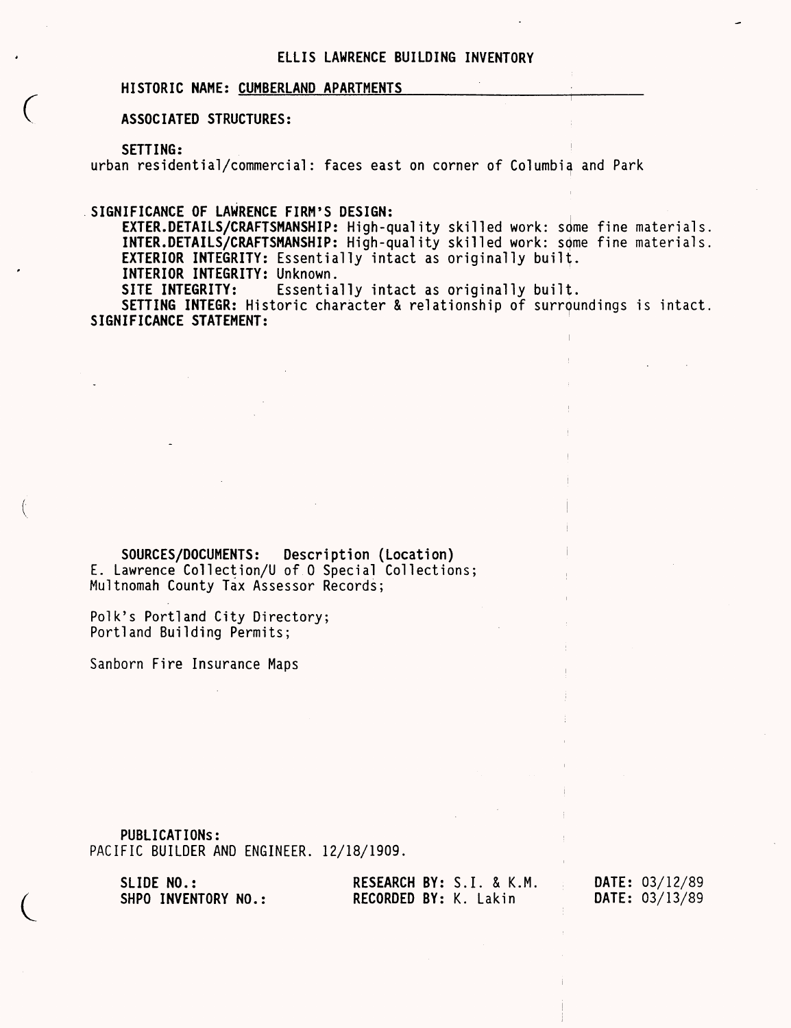#### **ELLIS LAWRENCE BUILDING INVENTORY**

#### **HISTORIC NAME: CUMBERLAND APARTMENTS\_\_\_\_\_\_\_\_**

#### **ASSOCIATED STRUCTURES:**

**SETTING:**

urban residential/commercial: faces east on corner of Columbia and Park

**SIGNIFICANCE OF LAWRENCE FIRM'S DESIGN:**

EXTER.DETAILS/CRAFTSMANSHIP: High-quality skilled work: some fine materials. **INTER.DETAILS/CRAFTSMANSHIP:** High-quality skilled work: some fine materials. EXTERIOR INTEGRITY: Essentially intact as originally built.

**INTERIOR INTEGRITY: Unknown.**<br>**SITE INTEGRITY:** Essentia

Essentially intact as originally built.

**SETTING INTEGR:** Historic character & relationship of surroundings is intact **SIGNIFICANCE STATEMENT:**

**SOURCES/DOCUMENTS: Description (Location)**  E. Lawrence Collection/U of 0 Special Collections; Multnomah County Tax Assessor Records;

Polk's Portland City Directory; Portland Building Permits;

Sanborn Fire Insurance Maps

PUBLICATIONS: PACIFIC BUILDER AND ENGINEER. 12/18/1909.

SLIDE NO.: RESEARCH BY: S.I. & K.M. DATE: 03/12/89<br>SHPO INVENTORY NO.: RECORDED BY: K. Lakin DATE: 03/13/89 **RECORDED BY: K. Lakin**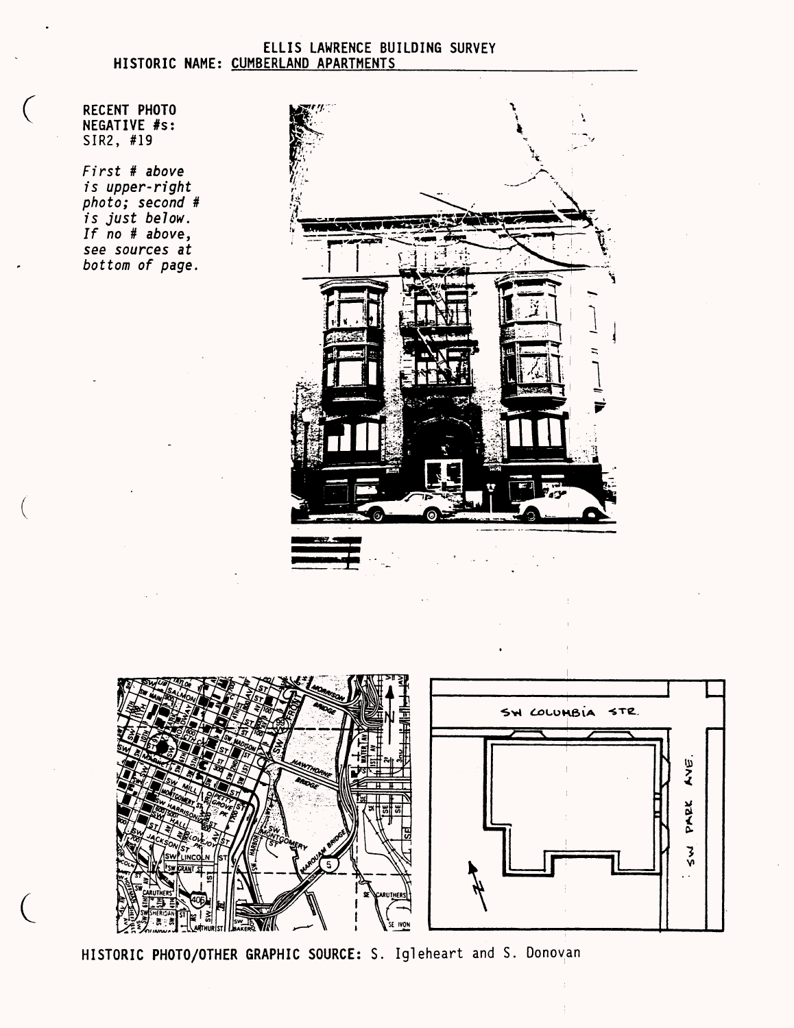#### ELLIS LAWRENCE BUILDING SURVEY HISTORIC NAME: CUMBERLAND APARTMENTS

RECENT PHOTO NEGATIVE #s: SIR2, #19

 $\left($ 

First # above is upper-right photo; second # is just below. If no # above, see sources at bottom of page.

 $\mathcal{L}$ 



SW COLUMBIA STR. AVE. PARK  $\zeta$  $\mathcal{L}$ **IVON** 

HISTORIC PHOTO/OTHER GRAPHIC SOURCE: S. Igleheart and S. Donovan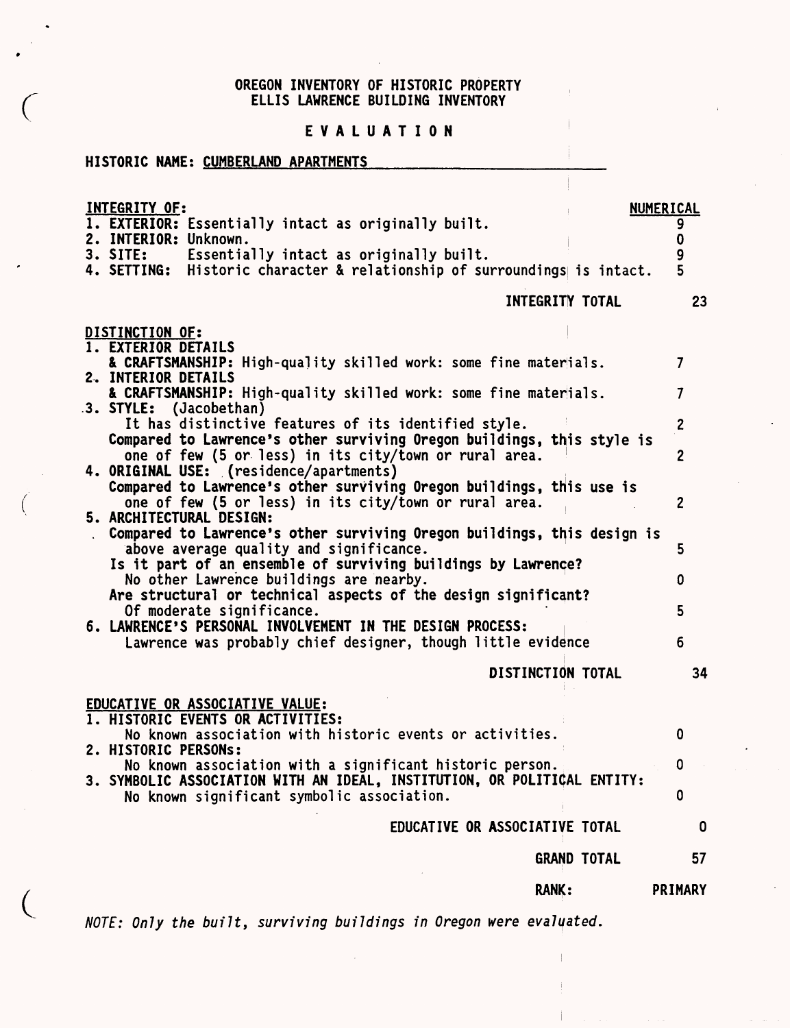#### OREGON INVENTORY OF HISTORIC PROPERTY ELLIS LAWRENCE BUILDING INVENTORY

#### EVALUATION

### HISTORIC NAME: CUMBERLAND APARTMENTS

EDUCATIVE OR ASSOCIATIVE VALUE;

 $\left(\right)$ 

 $\mathcal{L}$ 

| <b>INTEGRITY OF:</b><br>2. INTERIOR: Unknown. | 1. EXTERIOR: Essentially intact as originally built.<br>3. SITE: Essentially intact as originally built.<br>4. SETTING: Historic character & relationship of surroundings is intact. | NUMERICAL<br>5 |
|-----------------------------------------------|--------------------------------------------------------------------------------------------------------------------------------------------------------------------------------------|----------------|
|                                               | INTEGRITY TOTAL                                                                                                                                                                      | 23             |
| DISTINCTION OF:<br>1. EXTERIOR DETAILS        |                                                                                                                                                                                      |                |

| & CRAFTSMANSHIP: High-quality skilled work: some fine materials.        |   |
|-------------------------------------------------------------------------|---|
| 2. INTERIOR DETAILS                                                     |   |
| & CRAFTSMANSHIP: High-quality skilled work: some fine materials.        |   |
| 3. STYLE: (Jacobethan)                                                  |   |
| It has distinctive features of its identified style.                    |   |
| Compared to Lawrence's other surviving Oregon buildings, this style is  |   |
| one of few (5 or less) in its city/town or rural area.                  |   |
| 4. ORIGINAL USE: (residence/apartments)                                 |   |
| Compared to Lawrence's other surviving Oregon buildings, this use is    |   |
| one of few (5 or less) in its city/town or rural area.                  |   |
| 5. ARCHITECTURAL DESIGN:                                                |   |
| Compared to Lawrence's other surviving Oregon buildings, this design is |   |
| above average quality and significance.                                 | 5 |
| Is it part of an ensemble of surviving buildings by Lawrence?           |   |
| No other Lawrence buildings are nearby.                                 |   |
| Are structural or technical aspects of the design significant?          |   |
| Of moderate significance.                                               |   |
| 6. LAWRENCE'S PERSONAL INVOLVEMENT IN THE DESIGN PROCESS:               |   |
| Lawrence was probably chief designer, though little evidence            |   |
|                                                                         |   |
|                                                                         |   |

DISTINCTION TOTAL 34

#### 1. HISTORIC EVENTS OR ACTIVITIES: No known association with historic events or activities.  $\mathbf 0$ 2. HISTORIC PERSONS: No known association with a significant historic person.  $\mathbf 0$ 3. SYMBOLIC ASSOCIATION WITH AN IDEAL, INSTITUTION, OR POLITICAL ENTITY: No known significant symbolic association.  $\mathbf 0$ EDUCATIVE OR ASSOCIATIVE TOTAL  $\mathbf 0$

RANK:

GRAND TOTAL 57

PRIMARY

NOTE: Only the built, surviving buildings in Oregon were evaluated.